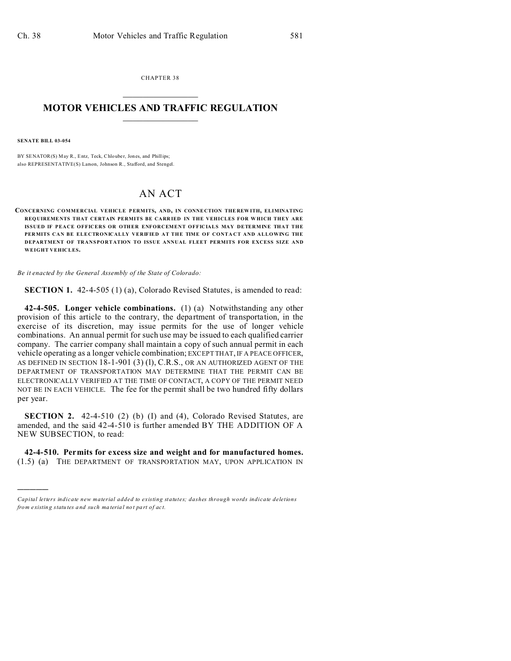CHAPTER 38  $\overline{\phantom{a}}$  , where  $\overline{\phantom{a}}$ 

### **MOTOR VEHICLES AND TRAFFIC REGULATION**  $\frac{1}{2}$  ,  $\frac{1}{2}$  ,  $\frac{1}{2}$  ,  $\frac{1}{2}$  ,  $\frac{1}{2}$  ,  $\frac{1}{2}$  ,  $\frac{1}{2}$

**SENATE BILL 03-054**

)))))

BY SENATOR(S) May R., Entz, Teck, Chlouber, Jones, and Phillips; also REPRESENTATIVE(S) Larson, Johnson R., Stafford, and Stengel.

# AN ACT

**CONCERNING COMMERCIAL VEHICLE PERMITS, AND, IN CONNE CTION THE REW ITH, ELIMINATING REQUIREME NTS THAT CERTAIN PERMITS BE CARR IED IN THE VEHICLES FOR W HICH THEY ARE ISSUED IF PEACE OFFICERS OR OTHER ENFORCEMENT OFFICIALS MAY DETERMINE THAT THE PERMITS CAN BE ELECTRONICALLY VERIFIED AT THE TIME OF CONTACT AND ALLOWING THE DEPARTMENT OF TRANSPORTATION TO ISSUE ANNUAL FLEET PERMITS FOR EXCESS SIZE AND WEIGHT VEHICLES.**

*Be it enacted by the General Assembly of the State of Colorado:*

**SECTION 1.** 42-4-505 (1) (a), Colorado Revised Statutes, is amended to read:

**42-4-505. Longer vehicle combinations.** (1) (a) Notwithstanding any other provision of this article to the contrary, the department of transportation, in the exercise of its discretion, may issue permits for the use of longer vehicle combinations. An annual permit for such use may be issued to each qualified carrier company. The carrier company shall maintain a copy of such annual permit in each vehicle operating as a longer vehicle combination; EXCEPT THAT, IF A PEACE OFFICER, AS DEFINED IN SECTION 18-1-901 (3) (1), C.R.S., OR AN AUTHORIZED AGENT OF THE DEPARTMENT OF TRANSPORTATION MAY DETERMINE THAT THE PERMIT CAN BE ELECTRONICALLY VERIFIED AT THE TIME OF CONTACT, A COPY OF THE PERMIT NEED NOT BE IN EACH VEHICLE. The fee for the permit shall be two hundred fifty dollars per year.

**SECTION 2.** 42-4-510 (2) (b) (I) and (4), Colorado Revised Statutes, are amended, and the said 42-4-510 is further amended BY THE ADDITION OF A NEW SUBSECTION, to read:

**42-4-510. Permits for excess size and weight and for manufactured homes.** (1.5) (a) THE DEPARTMENT OF TRANSPORTATION MAY, UPON APPLICATION IN

*Capital letters indicate new material added to existing statutes; dashes through words indicate deletions from e xistin g statu tes a nd such ma teria l no t pa rt of ac t.*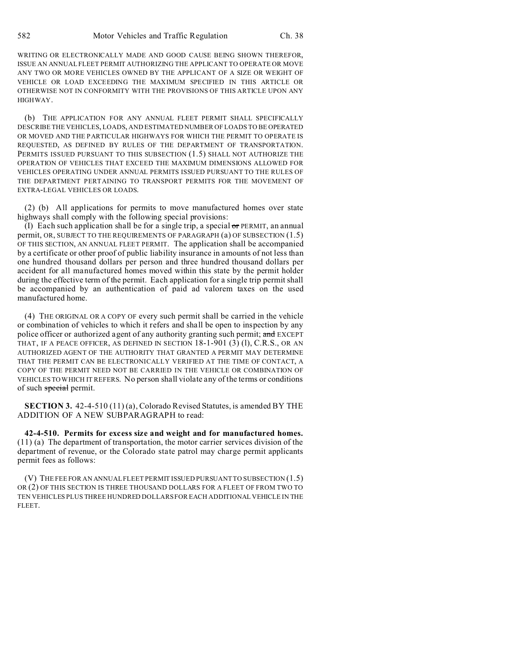WRITING OR ELECTRONICALLY MADE AND GOOD CAUSE BEING SHOWN THEREFOR, ISSUE AN ANNUAL FLEET PERMIT AUTHORIZING THE APPLICANT TO OPERATE OR MOVE ANY TWO OR MORE VEHICLES OWNED BY THE APPLICANT OF A SIZE OR WEIGHT OF VEHICLE OR LOAD EXCEEDING THE MAXIMUM SPECIFIED IN THIS ARTICLE OR OTHERWISE NOT IN CONFORMITY WITH THE PROVISIONS OF THIS ARTICLE UPON ANY HIGHWAY.

(b) THE APPLICATION FOR ANY ANNUAL FLEET PERMIT SHALL SPECIFICALLY DESCRIBE THE VEHICLES, LOADS, AND ESTIMATED NUMBER OF LOADS TO BE OPERATED OR MOVED AND THE PARTICULAR HIGHWAYS FOR WHICH THE PERMIT TO OPERATE IS REQUESTED, AS DEFINED BY RULES OF THE DEPARTMENT OF TRANSPORTATION. PERMITS ISSUED PURSUANT TO THIS SUBSECTION (1.5) SHALL NOT AUTHORIZE THE OPERATION OF VEHICLES THAT EXCEED THE MAXIMUM DIMENSIONS ALLOWED FOR VEHICLES OPERATING UNDER ANNUAL PERMITS ISSUED PURSUANT TO THE RULES OF THE DEPARTMENT PERTAINING TO TRANSPORT PERMITS FOR THE MOVEMENT OF EXTRA-LEGAL VEHICLES OR LOADS.

(2) (b) All applications for permits to move manufactured homes over state highways shall comply with the following special provisions:

(I) Each such application shall be for a single trip, a special  $or$  PERMIT, an annual permit, OR, SUBJECT TO THE REQUIREMENTS OF PARAGRAPH (a) OF SUBSECTION (1.5) OF THIS SECTION, AN ANNUAL FLEET PERMIT. The application shall be accompanied by a certificate or other proof of public liability insurance in amounts of not less than one hundred thousand dollars per person and three hundred thousand dollars per accident for all manufactured homes moved within this state by the permit holder during the effective term of the permit. Each application for a single trip permit shall be accompanied by an authentication of paid ad valorem taxes on the used manufactured home.

(4) THE ORIGINAL OR A COPY OF every such permit shall be carried in the vehicle or combination of vehicles to which it refers and shall be open to inspection by any police officer or authorized agent of any authority granting such permit; and EXCEPT THAT, IF A PEACE OFFICER, AS DEFINED IN SECTION 18-1-901 (3) (1), C.R.S., OR AN AUTHORIZED AGENT OF THE AUTHORITY THAT GRANTED A PERMIT MAY DETERMINE THAT THE PERMIT CAN BE ELECTRONICALLY VERIFIED AT THE TIME OF CONTACT, A COPY OF THE PERMIT NEED NOT BE CARRIED IN THE VEHICLE OR COMBINATION OF VEHICLES TO WHICH IT REFERS. No person shall violate any of the terms or conditions of such special permit.

**SECTION 3.** 42-4-510 (11) (a), Colorado Revised Statutes, is amended BY THE ADDITION OF A NEW SUBPARAGRAPH to read:

**42-4-510. Permits for excess size and weight and for manufactured homes.** (11) (a) The department of transportation, the motor carrier services division of the department of revenue, or the Colorado state patrol may charge permit applicants permit fees as follows:

(V) THE FEE FOR AN ANNUAL FLEET PERMIT ISSUED PURSUANT TO SUBSECTION (1.5) OR (2) OF THIS SECTION IS THREE THOUSAND DOLLARS FOR A FLEET OF FROM TWO TO TEN VEHICLES PLUS THREE HUNDRED DOLLARS FOR EACH ADDITIONAL VEHICLE IN THE FLEET.